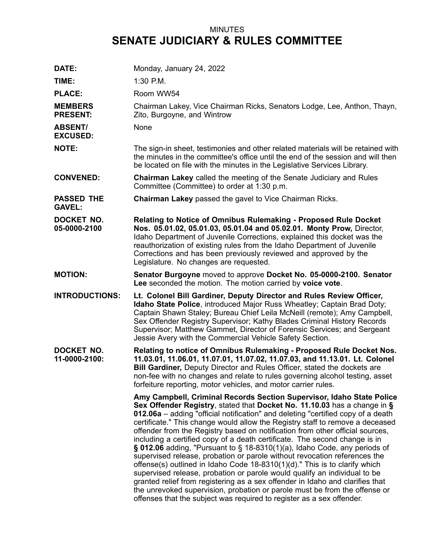## MINUTES **SENATE JUDICIARY & RULES COMMITTEE**

| DATE:                              | Monday, January 24, 2022                                                                                                                                                                                                                                                                                                                                                                                                                                                                                                                                                                                                                                                                                                                                                                                                                                                                                                                                                                                                                           |
|------------------------------------|----------------------------------------------------------------------------------------------------------------------------------------------------------------------------------------------------------------------------------------------------------------------------------------------------------------------------------------------------------------------------------------------------------------------------------------------------------------------------------------------------------------------------------------------------------------------------------------------------------------------------------------------------------------------------------------------------------------------------------------------------------------------------------------------------------------------------------------------------------------------------------------------------------------------------------------------------------------------------------------------------------------------------------------------------|
| TIME:                              | 1:30 P.M.                                                                                                                                                                                                                                                                                                                                                                                                                                                                                                                                                                                                                                                                                                                                                                                                                                                                                                                                                                                                                                          |
| <b>PLACE:</b>                      | Room WW54                                                                                                                                                                                                                                                                                                                                                                                                                                                                                                                                                                                                                                                                                                                                                                                                                                                                                                                                                                                                                                          |
| <b>MEMBERS</b><br><b>PRESENT:</b>  | Chairman Lakey, Vice Chairman Ricks, Senators Lodge, Lee, Anthon, Thayn,<br>Zito, Burgoyne, and Wintrow                                                                                                                                                                                                                                                                                                                                                                                                                                                                                                                                                                                                                                                                                                                                                                                                                                                                                                                                            |
| <b>ABSENT/</b><br><b>EXCUSED:</b>  | None                                                                                                                                                                                                                                                                                                                                                                                                                                                                                                                                                                                                                                                                                                                                                                                                                                                                                                                                                                                                                                               |
| <b>NOTE:</b>                       | The sign-in sheet, testimonies and other related materials will be retained with<br>the minutes in the committee's office until the end of the session and will then<br>be located on file with the minutes in the Legislative Services Library.                                                                                                                                                                                                                                                                                                                                                                                                                                                                                                                                                                                                                                                                                                                                                                                                   |
| <b>CONVENED:</b>                   | <b>Chairman Lakey called the meeting of the Senate Judiciary and Rules</b><br>Committee (Committee) to order at 1:30 p.m.                                                                                                                                                                                                                                                                                                                                                                                                                                                                                                                                                                                                                                                                                                                                                                                                                                                                                                                          |
| <b>PASSED THE</b><br><b>GAVEL:</b> | <b>Chairman Lakey passed the gavel to Vice Chairman Ricks.</b>                                                                                                                                                                                                                                                                                                                                                                                                                                                                                                                                                                                                                                                                                                                                                                                                                                                                                                                                                                                     |
| DOCKET NO.<br>05-0000-2100         | Relating to Notice of Omnibus Rulemaking - Proposed Rule Docket<br>Nos. 05.01.02, 05.01.03, 05.01.04 and 05.02.01. Monty Prow, Director,<br>Idaho Department of Juvenile Corrections, explained this docket was the<br>reauthorization of existing rules from the Idaho Department of Juvenile<br>Corrections and has been previously reviewed and approved by the<br>Legislature. No changes are requested.                                                                                                                                                                                                                                                                                                                                                                                                                                                                                                                                                                                                                                       |
| <b>MOTION:</b>                     | Senator Burgoyne moved to approve Docket No. 05-0000-2100. Senator<br>Lee seconded the motion. The motion carried by voice vote.                                                                                                                                                                                                                                                                                                                                                                                                                                                                                                                                                                                                                                                                                                                                                                                                                                                                                                                   |
| <b>INTRODUCTIONS:</b>              | Lt. Colonel Bill Gardiner, Deputy Director and Rules Review Officer,<br>Idaho State Police, introduced Major Russ Wheatley; Captain Brad Doty;<br>Captain Shawn Staley; Bureau Chief Leila McNeill (remote); Amy Campbell,<br>Sex Offender Registry Supervisor; Kathy Blades Criminal History Records<br>Supervisor; Matthew Gammet, Director of Forensic Services; and Sergeant<br>Jessie Avery with the Commercial Vehicle Safety Section.                                                                                                                                                                                                                                                                                                                                                                                                                                                                                                                                                                                                       |
| DOCKET NO.<br>11-0000-2100:        | Relating to notice of Omnibus Rulemaking - Proposed Rule Docket Nos.<br>11.03.01, 11.06.01, 11.07.01, 11.07.02, 11.07.03, and 11.13.01. Lt. Colonel<br>Bill Gardiner, Deputy Director and Rules Officer, stated the dockets are<br>non-fee with no changes and relate to rules governing alcohol testing, asset<br>forfeiture reporting, motor vehicles, and motor carrier rules.                                                                                                                                                                                                                                                                                                                                                                                                                                                                                                                                                                                                                                                                  |
|                                    | Amy Campbell, Criminal Records Section Supervisor, Idaho State Police<br>Sex Offender Registry, stated that Docket No. 11.10.03 has a change in §<br>012.06a – adding "official notification" and deleting "certified copy of a death<br>certificate." This change would allow the Registry staff to remove a deceased<br>offender from the Registry based on notification from other official sources,<br>including a certified copy of a death certificate. The second change is in<br>§ 012.06 adding, "Pursuant to § 18-8310(1)(a), Idaho Code, any periods of<br>supervised release, probation or parole without revocation references the<br>offense(s) outlined in Idaho Code 18-8310(1)(d)." This is to clarify which<br>supervised release, probation or parole would qualify an individual to be<br>granted relief from registering as a sex offender in Idaho and clarifies that<br>the unrevoked supervision, probation or parole must be from the offense or<br>offenses that the subject was required to register as a sex offender. |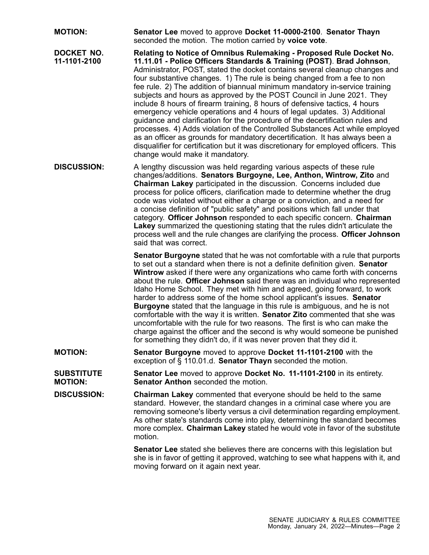**MOTION: Senator Lee** moved to approve **Docket 11-0000-2100**. **Senator Thayn** seconded the motion. The motion carried by **voice vote**. **DOCKET NO. 11-1101-2100 Relating to Notice of Omnibus Rulemaking - Proposed Rule Docket No. 11.11.01 - Police Officers Standards & Training (POST)**. **Brad Johnson**, Administrator, POST, stated the docket contains several cleanup changes and four substantive changes. 1) The rule is being changed from <sup>a</sup> fee to non fee rule. 2) The addition of biannual minimum mandatory in-service training subjects and hours as approved by the POST Council in June 2021. They include 8 hours of firearm training, 8 hours of defensive tactics, 4 hours emergency vehicle operations and 4 hours of legal updates. 3) Additional guidance and clarification for the procedure of the decertification rules and processes. 4) Adds violation of the Controlled Substances Act while employed as an officer as grounds for mandatory decertification. It has always been <sup>a</sup> disqualifier for certification but it was discretionary for employed officers. This change would make it mandatory. **DISCUSSION:** A lengthy discussion was held regarding various aspects of these rule changes/additions. **Senators Burgoyne, Lee, Anthon, Wintrow, Zito** and **Chairman Lakey** participated in the discussion. Concerns included due process for police officers, clarification made to determine whether the drug code was violated without either <sup>a</sup> charge or <sup>a</sup> conviction, and <sup>a</sup> need for <sup>a</sup> concise definition of "public safety" and positions which fall under that category. **Officer Johnson** responded to each specific concern. **Chairman Lakey** summarized the questioning stating that the rules didn't articulate the process well and the rule changes are clarifying the process. **Officer Johnson** said that was correct. **Senator Burgoyne** stated that he was not comfortable with <sup>a</sup> rule that purports to set out <sup>a</sup> standard when there is not <sup>a</sup> definite definition given. **Senator Wintrow** asked if there were any organizations who came forth with concerns about the rule. **Officer Johnson** said there was an individual who represented Idaho Home School. They met with him and agreed, going forward, to work harder to address some of the home school applicant's issues. **Senator Burgoyne** stated that the language in this rule is ambiguous, and he is not comfortable with the way it is written. **Senator Zito** commented that she was uncomfortable with the rule for two reasons. The first is who can make the charge against the officer and the second is why would someone be punished for something they didn't do, if it was never proven that they did it. **MOTION: Senator Burgoyne** moved to approve **Docket 11-1101-2100** with the exception of § 110.01.d. **Senator Thayn** seconded the motion. **SUBSTITUTE MOTION: Senator Lee** moved to approve **Docket No. 11-1101-2100** in its entirety. **Senator Anthon** seconded the motion. **DISCUSSION: Chairman Lakey** commented that everyone should be held to the same standard. However, the standard changes in <sup>a</sup> criminal case where you are removing someone's liberty versus <sup>a</sup> civil determination regarding employment. As other state's standards come into play, determining the standard becomes more complex. **Chairman Lakey** stated he would vote in favor of the substitute motion. **Senator Lee** stated she believes there are concerns with this legislation but she is in favor of getting it approved, watching to see what happens with it, and moving forward on it again next year.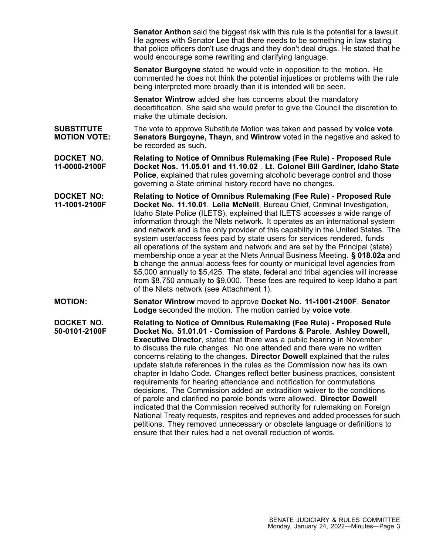**Senator Anthon** said the biggest risk with this rule is the potential for <sup>a</sup> lawsuit. He agrees with Senator Lee that there needs to be something in law stating that police officers don't use drugs and they don't deal drugs. He stated that he would encourage some rewriting and clarifying language.

**Senator Burgoyne** stated he would vote in opposition to the motion. He commented he does not think the potential injustices or problems with the rule being interpreted more broadly than it is intended will be seen.

**Senator Wintrow** added she has concerns about the mandatory decertification. She said she would prefer to give the Council the discretion to make the ultimate decision.

- **SUBSTITUTE MOTION VOTE:** The vote to approve Substitute Motion was taken and passed by **voice vote**. **Senators Burgoyne, Thayn**, and **Wintrow** voted in the negative and asked to be recorded as such.
- **DOCKET NO. 11-0000-2100F Relating to Notice of Omnibus Rulemaking (Fee Rule) - Proposed Rule Docket Nos. 11.05.01 and 11.10.02** . **Lt. Colonel Bill Gardiner, Idaho State Police**, explained that rules governing alcoholic beverage control and those governing <sup>a</sup> State criminal history record have no changes.
- **DOCKET NO: 11-1001-2100F Relating to Notice of Omnibus Rulemaking (Fee Rule) - Proposed Rule Docket No. 11.10.01**. **Lelia McNeill**, Bureau Chief, Criminal Investigation, Idaho State Police (ILETS), explained that ILETS accesses <sup>a</sup> wide range of information through the Nlets network. It operates as an international system and network and is the only provider of this capability in the United States. The system user/access fees paid by state users for services rendered, funds all operations of the system and network and are set by the Principal (state) membership once <sup>a</sup> year at the Nlets Annual Business Meeting. **§ 018.02a** and **b** change the annual access fees for county or municipal level agencies from \$5,000 annually to \$5,425. The state, federal and tribal agencies will increase from \$8,750 annually to \$9,000. These fees are required to keep Idaho <sup>a</sup> part of the Nlets network (see Attachment 1).
- **MOTION: Senator Wintrow** moved to approve **Docket No. 11-1001-2100F**. **Senator Lodge** seconded the motion. The motion carried by **voice vote**.

**DOCKET NO. 50-0101-2100F Relating to Notice of Omnibus Rulemaking (Fee Rule) - Proposed Rule Docket No. 51.01.01 - Comission of Pardons & Parole**. **Ashley Dowell, Executive Director**, stated that there was <sup>a</sup> public hearing in November to discuss the rule changes. No one attended and there were no written concerns relating to the changes. **Director Dowell** explained that the rules update statute references in the rules as the Commission now has its own chapter in Idaho Code. Changes reflect better business practices, consistent requirements for hearing attendance and notification for commutations decisions. The Commission added an extradition waiver to the conditions of parole and clarified no parole bonds were allowed. **Director Dowell** indicated that the Commission received authority for rulemaking on Foreign National Treaty requests, respites and reprieves and added processes for such petitions. They removed unnecessary or obsolete language or definitions to ensure that their rules had a net overall reduction of words.